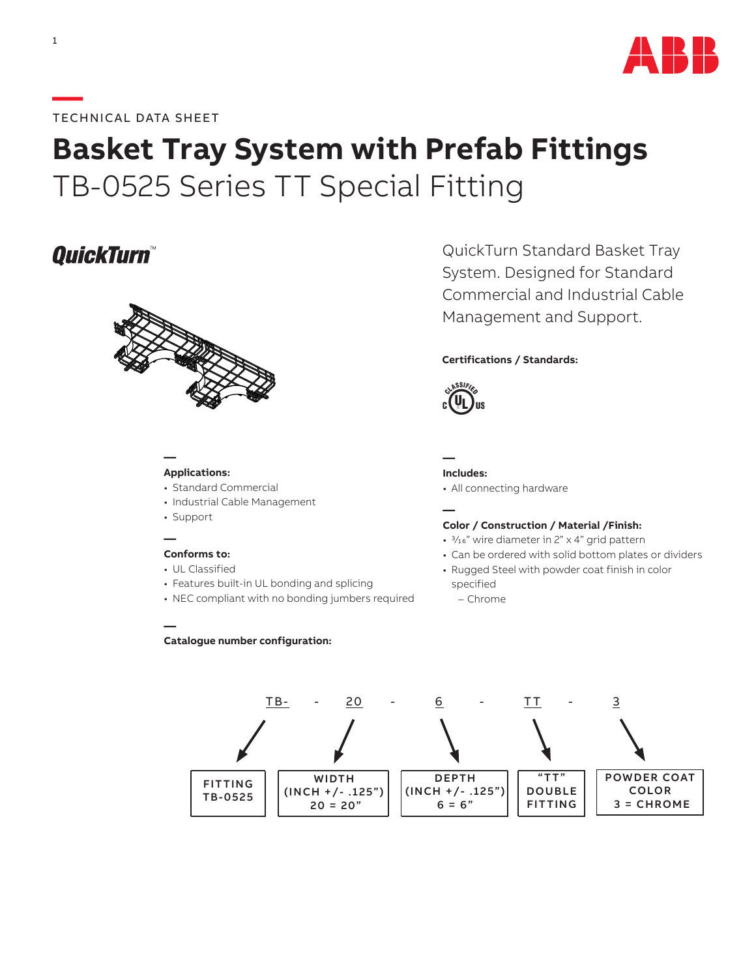

### **—**TECHNICAL DATA SHEET

# **Basket Tray System with Prefab Fittings** TB-0525 Series TT Special Fitting

## **QuickTurn**



#### **— Applications:**

- Standard Commercial
- Industrial Cable Management
- Support

**—**

#### **— Conforms to:**

- UL Classified
- Features built-in UL bonding and splicing

**Catalogue number configuration:**

• NEC compliant with no bonding jumbers required

QuickTurn Standard Basket Tray System. Designed for Standard Commercial and Industrial Cable Management and Support.

#### **Certifications / Standards:**



**— Includes:**

• All connecting hardware

#### **— Color / Construction / Material /Finish:**

- 3/16" wire diameter in 2" x 4" grid pattern
- Can be ordered with solid bottom plates or dividers
- Rugged Steel with powder coat finish in color specified
	- Chrome